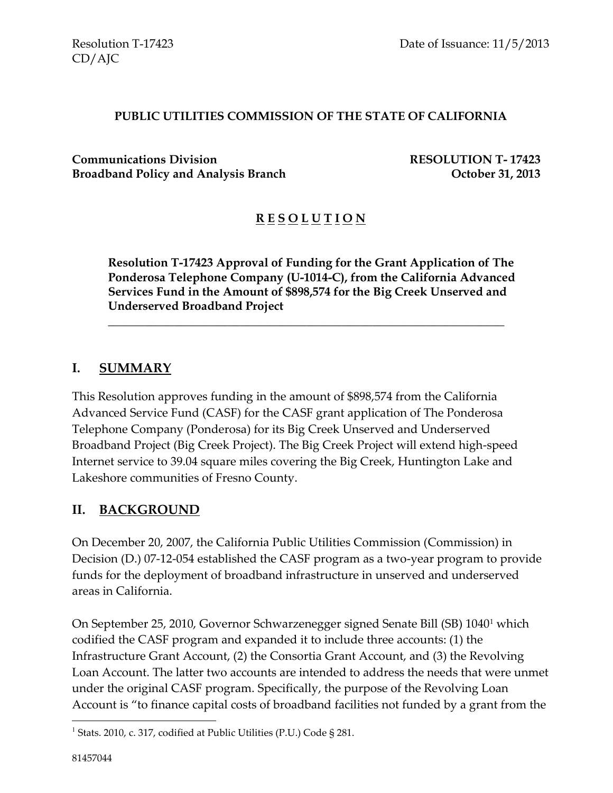#### **PUBLIC UTILITIES COMMISSION OF THE STATE OF CALIFORNIA**

**Communications Division RESOLUTION T- 17423 Broadband Policy and Analysis Branch Department Concrete Algebra 2013** 

# **R E S O L U T I O N**

**Resolution T-17423 Approval of Funding for the Grant Application of The Ponderosa Telephone Company (U-1014-C), from the California Advanced Services Fund in the Amount of \$898,574 for the Big Creek Unserved and Underserved Broadband Project**

\_\_\_\_\_\_\_\_\_\_\_\_\_\_\_\_\_\_\_\_\_\_\_\_\_\_\_\_\_\_\_\_\_\_\_\_\_\_\_\_\_\_\_\_\_\_\_\_\_\_\_\_\_\_\_\_\_\_\_\_\_\_\_\_\_\_

#### **I. SUMMARY**

This Resolution approves funding in the amount of \$898,574 from the California Advanced Service Fund (CASF) for the CASF grant application of The Ponderosa Telephone Company (Ponderosa) for its Big Creek Unserved and Underserved Broadband Project (Big Creek Project). The Big Creek Project will extend high-speed Internet service to 39.04 square miles covering the Big Creek, Huntington Lake and Lakeshore communities of Fresno County.

#### **II. BACKGROUND**

On December 20, 2007, the California Public Utilities Commission (Commission) in Decision (D.) 07-12-054 established the CASF program as a two-year program to provide funds for the deployment of broadband infrastructure in unserved and underserved areas in California.

On September 25, 2010, Governor Schwarzenegger signed Senate Bill (SB) 1040<sup>1</sup> which codified the CASF program and expanded it to include three accounts: (1) the Infrastructure Grant Account, (2) the Consortia Grant Account, and (3) the Revolving Loan Account. The latter two accounts are intended to address the needs that were unmet under the original CASF program. Specifically, the purpose of the Revolving Loan Account is "to finance capital costs of broadband facilities not funded by a grant from the

 $\overline{a}$ 

<sup>&</sup>lt;sup>1</sup> Stats. 2010, c. 317, codified at Public Utilities (P.U.) Code § 281.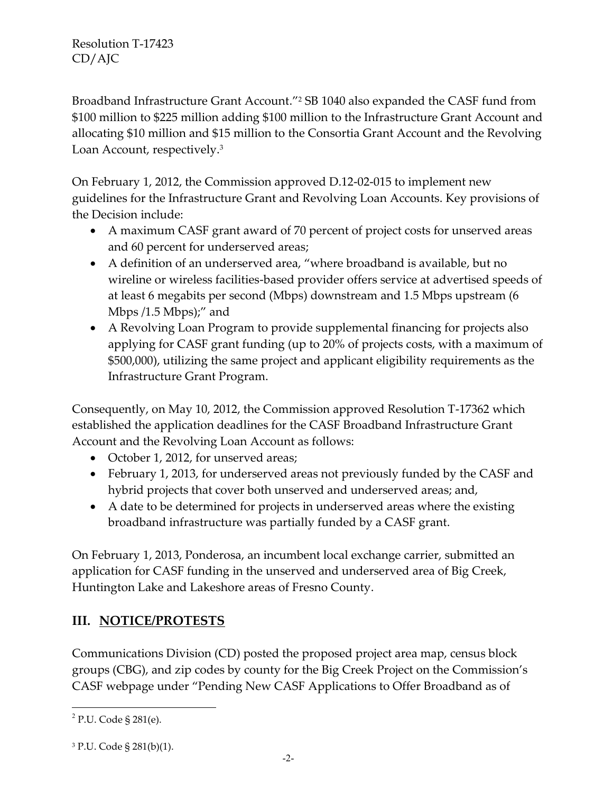Broadband Infrastructure Grant Account."<sup>2</sup> SB 1040 also expanded the CASF fund from \$100 million to \$225 million adding \$100 million to the Infrastructure Grant Account and allocating \$10 million and \$15 million to the Consortia Grant Account and the Revolving Loan Account, respectively.<sup>3</sup>

On February 1, 2012, the Commission approved D.12-02-015 to implement new guidelines for the Infrastructure Grant and Revolving Loan Accounts. Key provisions of the Decision include:

- A maximum CASF grant award of 70 percent of project costs for unserved areas and 60 percent for underserved areas;
- A definition of an underserved area, "where broadband is available, but no wireline or wireless facilities-based provider offers service at advertised speeds of at least 6 megabits per second (Mbps) downstream and 1.5 Mbps upstream (6 Mbps /1.5 Mbps);" and
- A Revolving Loan Program to provide supplemental financing for projects also applying for CASF grant funding (up to 20% of projects costs, with a maximum of \$500,000), utilizing the same project and applicant eligibility requirements as the Infrastructure Grant Program.

Consequently, on May 10, 2012, the Commission approved Resolution T-17362 which established the application deadlines for the CASF Broadband Infrastructure Grant Account and the Revolving Loan Account as follows:

- October 1, 2012, for unserved areas;
- February 1, 2013, for underserved areas not previously funded by the CASF and hybrid projects that cover both unserved and underserved areas; and,
- A date to be determined for projects in underserved areas where the existing broadband infrastructure was partially funded by a CASF grant.

On February 1, 2013, Ponderosa, an incumbent local exchange carrier, submitted an application for CASF funding in the unserved and underserved area of Big Creek, Huntington Lake and Lakeshore areas of Fresno County.

# **III. NOTICE/PROTESTS**

Communications Division (CD) posted the proposed project area map, census block groups (CBG), and zip codes by county for the Big Creek Project on the Commission's CASF webpage under "Pending New CASF Applications to Offer Broadband as of

 $\overline{a}$ 

<sup>&</sup>lt;sup>2</sup> P.U. Code § 281(e).

<sup>3</sup> P.U. Code § 281(b)(1).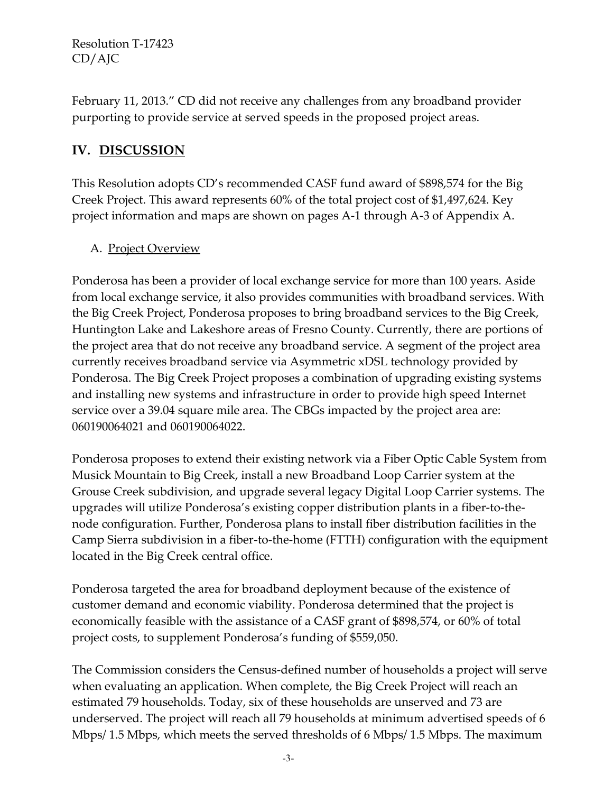February 11, 2013." CD did not receive any challenges from any broadband provider purporting to provide service at served speeds in the proposed project areas.

# **IV. DISCUSSION**

This Resolution adopts CD's recommended CASF fund award of \$898,574 for the Big Creek Project. This award represents 60% of the total project cost of \$1,497,624. Key project information and maps are shown on pages A-1 through A-3 of Appendix A.

#### A. Project Overview

Ponderosa has been a provider of local exchange service for more than 100 years. Aside from local exchange service, it also provides communities with broadband services. With the Big Creek Project, Ponderosa proposes to bring broadband services to the Big Creek, Huntington Lake and Lakeshore areas of Fresno County. Currently, there are portions of the project area that do not receive any broadband service. A segment of the project area currently receives broadband service via Asymmetric xDSL technology provided by Ponderosa. The Big Creek Project proposes a combination of upgrading existing systems and installing new systems and infrastructure in order to provide high speed Internet service over a 39.04 square mile area. The CBGs impacted by the project area are: 060190064021 and 060190064022.

Ponderosa proposes to extend their existing network via a Fiber Optic Cable System from Musick Mountain to Big Creek, install a new Broadband Loop Carrier system at the Grouse Creek subdivision, and upgrade several legacy Digital Loop Carrier systems. The upgrades will utilize Ponderosa's existing copper distribution plants in a fiber-to-thenode configuration. Further, Ponderosa plans to install fiber distribution facilities in the Camp Sierra subdivision in a fiber-to-the-home (FTTH) configuration with the equipment located in the Big Creek central office.

Ponderosa targeted the area for broadband deployment because of the existence of customer demand and economic viability. Ponderosa determined that the project is economically feasible with the assistance of a CASF grant of \$898,574, or 60% of total project costs, to supplement Ponderosa's funding of \$559,050.

The Commission considers the Census-defined number of households a project will serve when evaluating an application. When complete, the Big Creek Project will reach an estimated 79 households. Today, six of these households are unserved and 73 are underserved. The project will reach all 79 households at minimum advertised speeds of 6 Mbps/ 1.5 Mbps, which meets the served thresholds of 6 Mbps/ 1.5 Mbps. The maximum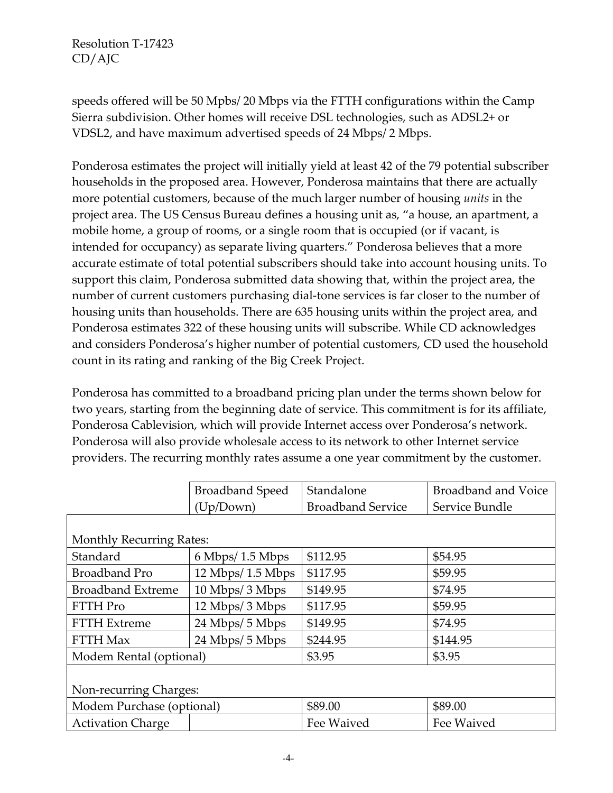speeds offered will be 50 Mpbs/ 20 Mbps via the FTTH configurations within the Camp Sierra subdivision. Other homes will receive DSL technologies, such as ADSL2+ or VDSL2, and have maximum advertised speeds of 24 Mbps/ 2 Mbps.

Ponderosa estimates the project will initially yield at least 42 of the 79 potential subscriber households in the proposed area. However, Ponderosa maintains that there are actually more potential customers, because of the much larger number of housing *units* in the project area. The US Census Bureau defines a housing unit as, "a house, an apartment, a mobile home, a group of rooms, or a single room that is occupied (or if vacant, is intended for occupancy) as separate living quarters." Ponderosa believes that a more accurate estimate of total potential subscribers should take into account housing units. To support this claim, Ponderosa submitted data showing that, within the project area, the number of current customers purchasing dial-tone services is far closer to the number of housing units than households. There are 635 housing units within the project area, and Ponderosa estimates 322 of these housing units will subscribe. While CD acknowledges and considers Ponderosa's higher number of potential customers, CD used the household count in its rating and ranking of the Big Creek Project.

Ponderosa has committed to a broadband pricing plan under the terms shown below for two years, starting from the beginning date of service. This commitment is for its affiliate, Ponderosa Cablevision, which will provide Internet access over Ponderosa's network. Ponderosa will also provide wholesale access to its network to other Internet service providers. The recurring monthly rates assume a one year commitment by the customer.

|                                 | <b>Broadband Speed</b>               | Standalone               | <b>Broadband and Voice</b> |  |
|---------------------------------|--------------------------------------|--------------------------|----------------------------|--|
|                                 | (Up/Down)                            | <b>Broadband Service</b> | Service Bundle             |  |
|                                 |                                      |                          |                            |  |
| <b>Monthly Recurring Rates:</b> |                                      |                          |                            |  |
| Standard                        | $6$ Mbps/ 1.5 Mbps                   | \$112.95                 | \$54.95                    |  |
| <b>Broadband Pro</b>            | $12 \text{ Mbps} / 1.5 \text{ Mbps}$ | \$117.95                 | \$59.95                    |  |
| <b>Broadband Extreme</b>        | 10 Mbps/ 3 Mbps                      | \$149.95                 | \$74.95                    |  |
| <b>FTTH Pro</b>                 | 12 Mbps/ 3 Mbps                      | \$117.95                 | \$59.95                    |  |
| <b>FTTH Extreme</b>             | 24 Mbps/ 5 Mbps                      | \$149.95                 | \$74.95                    |  |
| <b>FTTH Max</b>                 | 24 Mbps/ 5 Mbps                      | \$244.95                 | \$144.95                   |  |
| Modem Rental (optional)         |                                      | \$3.95                   | \$3.95                     |  |
|                                 |                                      |                          |                            |  |
| Non-recurring Charges:          |                                      |                          |                            |  |
| Modem Purchase (optional)       |                                      | \$89.00                  | \$89.00                    |  |
| <b>Activation Charge</b>        |                                      | Fee Waived               | Fee Waived                 |  |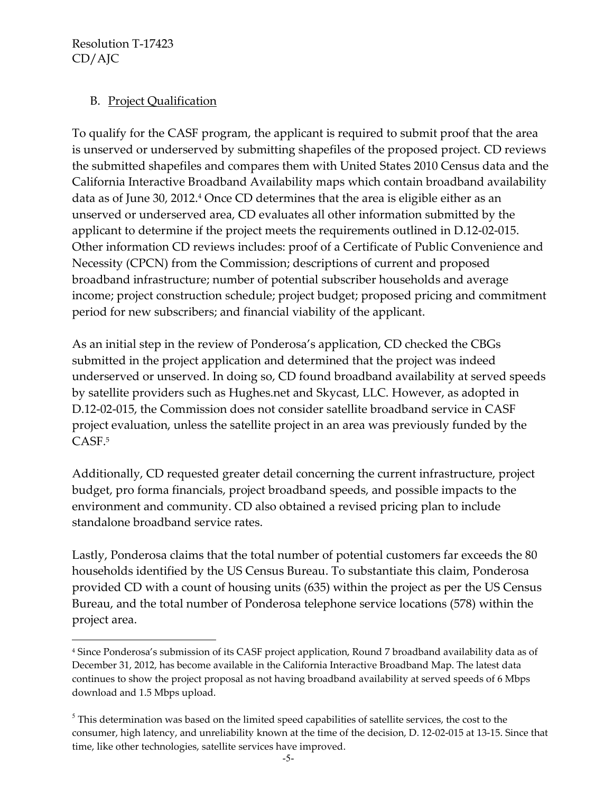$\overline{a}$ 

#### B. Project Qualification

To qualify for the CASF program, the applicant is required to submit proof that the area is unserved or underserved by submitting shapefiles of the proposed project. CD reviews the submitted shapefiles and compares them with United States 2010 Census data and the California Interactive Broadband Availability maps which contain broadband availability data as of June 30, 2012.<sup>4</sup> Once CD determines that the area is eligible either as an unserved or underserved area, CD evaluates all other information submitted by the applicant to determine if the project meets the requirements outlined in D.12-02-015. Other information CD reviews includes: proof of a Certificate of Public Convenience and Necessity (CPCN) from the Commission; descriptions of current and proposed broadband infrastructure; number of potential subscriber households and average income; project construction schedule; project budget; proposed pricing and commitment period for new subscribers; and financial viability of the applicant.

As an initial step in the review of Ponderosa's application, CD checked the CBGs submitted in the project application and determined that the project was indeed underserved or unserved. In doing so, CD found broadband availability at served speeds by satellite providers such as Hughes.net and Skycast, LLC. However, as adopted in D.12-02-015, the Commission does not consider satellite broadband service in CASF project evaluation, unless the satellite project in an area was previously funded by the CASF.<sup>5</sup>

Additionally, CD requested greater detail concerning the current infrastructure, project budget, pro forma financials, project broadband speeds, and possible impacts to the environment and community. CD also obtained a revised pricing plan to include standalone broadband service rates.

Lastly, Ponderosa claims that the total number of potential customers far exceeds the 80 households identified by the US Census Bureau. To substantiate this claim, Ponderosa provided CD with a count of housing units (635) within the project as per the US Census Bureau, and the total number of Ponderosa telephone service locations (578) within the project area.

<sup>4</sup> Since Ponderosa's submission of its CASF project application, Round 7 broadband availability data as of December 31, 2012, has become available in the California Interactive Broadband Map. The latest data continues to show the project proposal as not having broadband availability at served speeds of 6 Mbps download and 1.5 Mbps upload.

 $<sup>5</sup>$  This determination was based on the limited speed capabilities of satellite services, the cost to the</sup> consumer, high latency, and unreliability known at the time of the decision, D. 12-02-015 at 13-15. Since that time, like other technologies, satellite services have improved.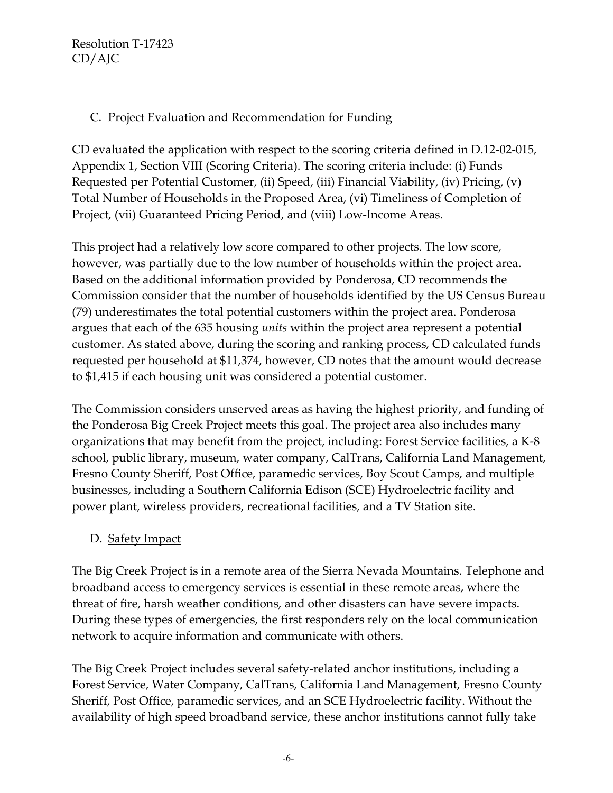#### C. Project Evaluation and Recommendation for Funding

CD evaluated the application with respect to the scoring criteria defined in D.12-02-015, Appendix 1, Section VIII (Scoring Criteria). The scoring criteria include: (i) Funds Requested per Potential Customer, (ii) Speed, (iii) Financial Viability, (iv) Pricing, (v) Total Number of Households in the Proposed Area, (vi) Timeliness of Completion of Project, (vii) Guaranteed Pricing Period, and (viii) Low-Income Areas.

This project had a relatively low score compared to other projects. The low score, however, was partially due to the low number of households within the project area. Based on the additional information provided by Ponderosa, CD recommends the Commission consider that the number of households identified by the US Census Bureau (79) underestimates the total potential customers within the project area. Ponderosa argues that each of the 635 housing *units* within the project area represent a potential customer. As stated above, during the scoring and ranking process, CD calculated funds requested per household at \$11,374, however, CD notes that the amount would decrease to \$1,415 if each housing unit was considered a potential customer.

The Commission considers unserved areas as having the highest priority, and funding of the Ponderosa Big Creek Project meets this goal. The project area also includes many organizations that may benefit from the project, including: Forest Service facilities, a K-8 school, public library, museum, water company, CalTrans, California Land Management, Fresno County Sheriff, Post Office, paramedic services, Boy Scout Camps, and multiple businesses, including a Southern California Edison (SCE) Hydroelectric facility and power plant, wireless providers, recreational facilities, and a TV Station site.

## D. Safety Impact

The Big Creek Project is in a remote area of the Sierra Nevada Mountains. Telephone and broadband access to emergency services is essential in these remote areas, where the threat of fire, harsh weather conditions, and other disasters can have severe impacts. During these types of emergencies, the first responders rely on the local communication network to acquire information and communicate with others.

The Big Creek Project includes several safety-related anchor institutions, including a Forest Service, Water Company, CalTrans, California Land Management, Fresno County Sheriff, Post Office, paramedic services, and an SCE Hydroelectric facility. Without the availability of high speed broadband service, these anchor institutions cannot fully take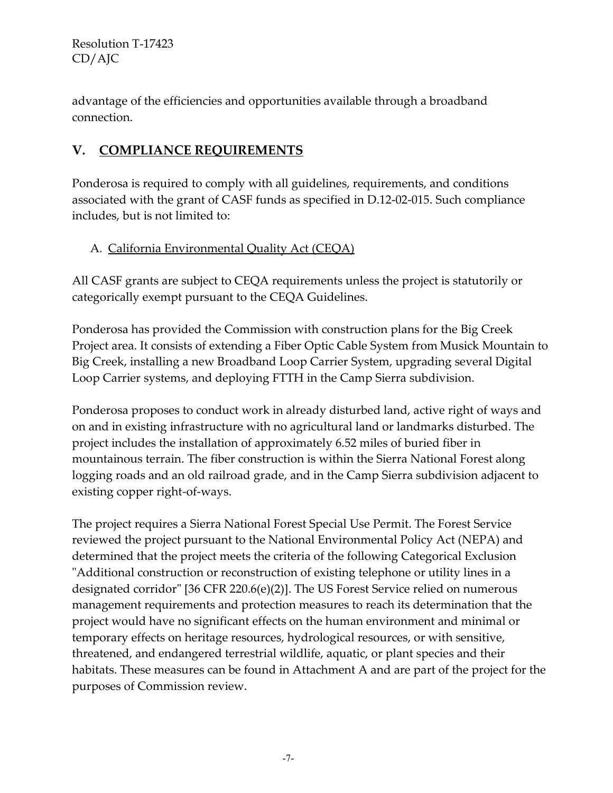advantage of the efficiencies and opportunities available through a broadband connection.

# **V. COMPLIANCE REQUIREMENTS**

Ponderosa is required to comply with all guidelines, requirements, and conditions associated with the grant of CASF funds as specified in D.12-02-015. Such compliance includes, but is not limited to:

## A. California Environmental Quality Act (CEQA)

All CASF grants are subject to CEQA requirements unless the project is statutorily or categorically exempt pursuant to the CEQA Guidelines.

Ponderosa has provided the Commission with construction plans for the Big Creek Project area. It consists of extending a Fiber Optic Cable System from Musick Mountain to Big Creek, installing a new Broadband Loop Carrier System, upgrading several Digital Loop Carrier systems, and deploying FTTH in the Camp Sierra subdivision.

Ponderosa proposes to conduct work in already disturbed land, active right of ways and on and in existing infrastructure with no agricultural land or landmarks disturbed. The project includes the installation of approximately 6.52 miles of buried fiber in mountainous terrain. The fiber construction is within the Sierra National Forest along logging roads and an old railroad grade, and in the Camp Sierra subdivision adjacent to existing copper right-of-ways.

The project requires a Sierra National Forest Special Use Permit. The Forest Service reviewed the project pursuant to the National Environmental Policy Act (NEPA) and determined that the project meets the criteria of the following Categorical Exclusion "Additional construction or reconstruction of existing telephone or utility lines in a designated corridor" [36 CFR 220.6(e)(2)]. The US Forest Service relied on numerous management requirements and protection measures to reach its determination that the project would have no significant effects on the human environment and minimal or temporary effects on heritage resources, hydrological resources, or with sensitive, threatened, and endangered terrestrial wildlife, aquatic, or plant species and their habitats. These measures can be found in Attachment A and are part of the project for the purposes of Commission review.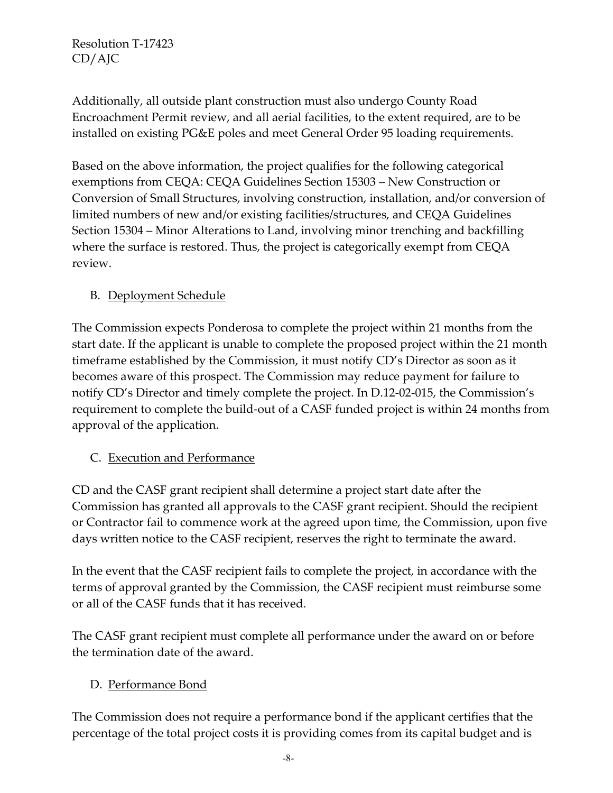Additionally, all outside plant construction must also undergo County Road Encroachment Permit review, and all aerial facilities, to the extent required, are to be installed on existing PG&E poles and meet General Order 95 loading requirements.

Based on the above information, the project qualifies for the following categorical exemptions from CEQA: CEQA Guidelines Section 15303 – New Construction or Conversion of Small Structures, involving construction, installation, and/or conversion of limited numbers of new and/or existing facilities/structures, and CEQA Guidelines Section 15304 – Minor Alterations to Land, involving minor trenching and backfilling where the surface is restored. Thus, the project is categorically exempt from CEQA review.

# B. Deployment Schedule

The Commission expects Ponderosa to complete the project within 21 months from the start date. If the applicant is unable to complete the proposed project within the 21 month timeframe established by the Commission, it must notify CD's Director as soon as it becomes aware of this prospect. The Commission may reduce payment for failure to notify CD's Director and timely complete the project. In D.12-02-015, the Commission's requirement to complete the build-out of a CASF funded project is within 24 months from approval of the application.

## C. Execution and Performance

CD and the CASF grant recipient shall determine a project start date after the Commission has granted all approvals to the CASF grant recipient. Should the recipient or Contractor fail to commence work at the agreed upon time, the Commission, upon five days written notice to the CASF recipient, reserves the right to terminate the award.

In the event that the CASF recipient fails to complete the project, in accordance with the terms of approval granted by the Commission, the CASF recipient must reimburse some or all of the CASF funds that it has received.

The CASF grant recipient must complete all performance under the award on or before the termination date of the award.

## D. Performance Bond

The Commission does not require a performance bond if the applicant certifies that the percentage of the total project costs it is providing comes from its capital budget and is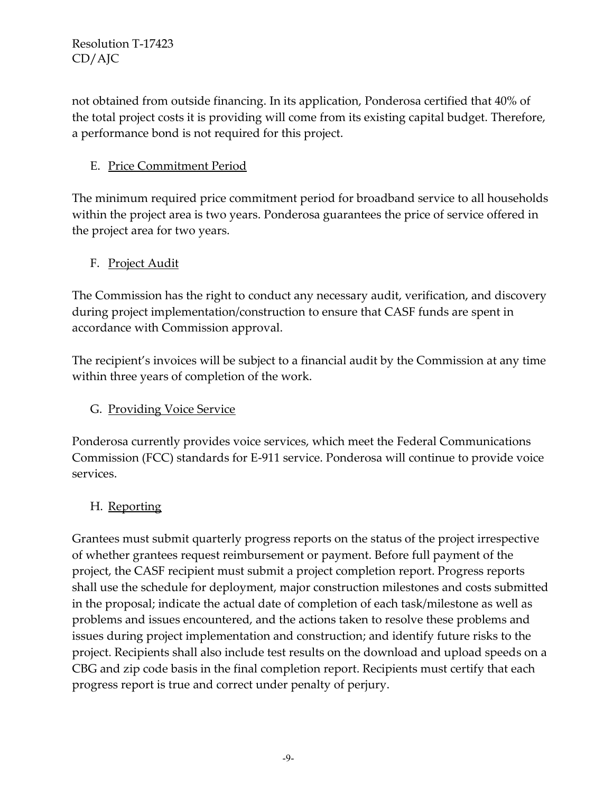not obtained from outside financing. In its application, Ponderosa certified that 40% of the total project costs it is providing will come from its existing capital budget. Therefore, a performance bond is not required for this project.

# E. Price Commitment Period

The minimum required price commitment period for broadband service to all households within the project area is two years. Ponderosa guarantees the price of service offered in the project area for two years.

#### F. Project Audit

The Commission has the right to conduct any necessary audit, verification, and discovery during project implementation/construction to ensure that CASF funds are spent in accordance with Commission approval.

The recipient's invoices will be subject to a financial audit by the Commission at any time within three years of completion of the work.

## G. Providing Voice Service

Ponderosa currently provides voice services, which meet the Federal Communications Commission (FCC) standards for E-911 service. Ponderosa will continue to provide voice services.

## H. Reporting

Grantees must submit quarterly progress reports on the status of the project irrespective of whether grantees request reimbursement or payment. Before full payment of the project, the CASF recipient must submit a project completion report. Progress reports shall use the schedule for deployment, major construction milestones and costs submitted in the proposal; indicate the actual date of completion of each task/milestone as well as problems and issues encountered, and the actions taken to resolve these problems and issues during project implementation and construction; and identify future risks to the project. Recipients shall also include test results on the download and upload speeds on a CBG and zip code basis in the final completion report. Recipients must certify that each progress report is true and correct under penalty of perjury.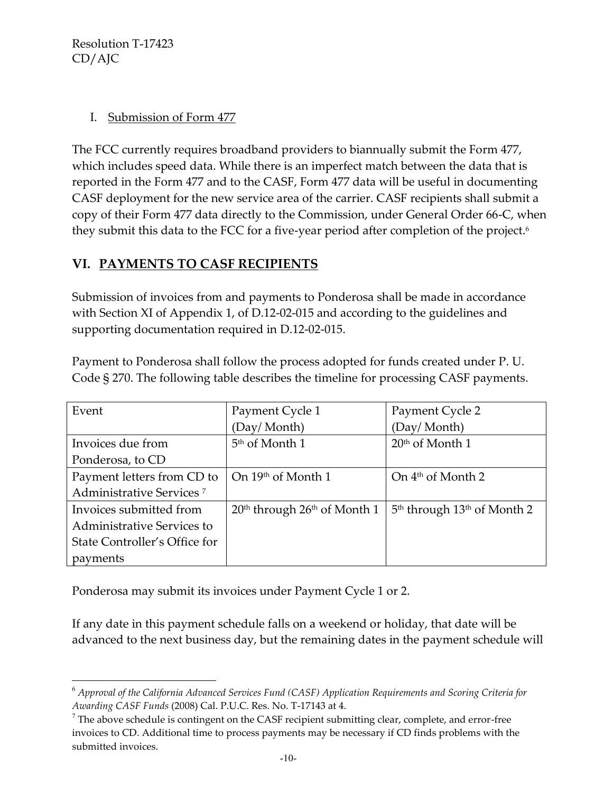$\overline{a}$ 

#### I. Submission of Form 477

The FCC currently requires broadband providers to biannually submit the Form 477, which includes speed data. While there is an imperfect match between the data that is reported in the Form 477 and to the CASF, Form 477 data will be useful in documenting CASF deployment for the new service area of the carrier. CASF recipients shall submit a copy of their Form 477 data directly to the Commission, under General Order 66-C, when they submit this data to the FCC for a five-year period after completion of the project.<sup>6</sup>

# **VI. PAYMENTS TO CASF RECIPIENTS**

Submission of invoices from and payments to Ponderosa shall be made in accordance with Section XI of Appendix 1, of D.12-02-015 and according to the guidelines and supporting documentation required in D.12-02-015.

| Event                                | Payment Cycle 1                  | Payment Cycle 2                                     |
|--------------------------------------|----------------------------------|-----------------------------------------------------|
|                                      | (Day/Month)                      | (Day/Month)                                         |
| Invoices due from                    | 5 <sup>th</sup> of Month 1       | $20th$ of Month 1                                   |
| Ponderosa, to CD                     |                                  |                                                     |
| Payment letters from CD to           | On 19th of Month 1               | On $4th$ of Month 2                                 |
| Administrative Services <sup>7</sup> |                                  |                                                     |
| Invoices submitted from              | $20th$ through $26th$ of Month 1 | 5 <sup>th</sup> through 13 <sup>th</sup> of Month 2 |
| Administrative Services to           |                                  |                                                     |
| State Controller's Office for        |                                  |                                                     |
| payments                             |                                  |                                                     |

Payment to Ponderosa shall follow the process adopted for funds created under P. U. Code § 270. The following table describes the timeline for processing CASF payments.

Ponderosa may submit its invoices under Payment Cycle 1 or 2.

If any date in this payment schedule falls on a weekend or holiday, that date will be advanced to the next business day, but the remaining dates in the payment schedule will

<sup>6</sup> *Approval of the California Advanced Services Fund (CASF) Application Requirements and Scoring Criteria for Awarding CASF Funds* (2008) Cal. P.U.C. Res. No. T-17143 at 4.

 $7$  The above schedule is contingent on the CASF recipient submitting clear, complete, and error-free invoices to CD. Additional time to process payments may be necessary if CD finds problems with the submitted invoices.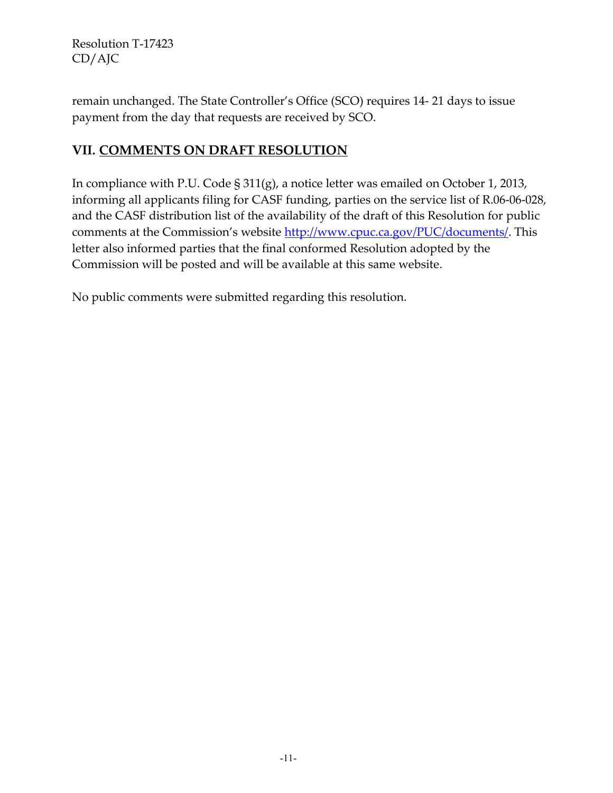remain unchanged. The State Controller's Office (SCO) requires 14- 21 days to issue payment from the day that requests are received by SCO.

# **VII. COMMENTS ON DRAFT RESOLUTION**

In compliance with P.U. Code § 311(g), a notice letter was emailed on October 1, 2013, informing all applicants filing for CASF funding, parties on the service list of R.06-06-028, and the CASF distribution list of the availability of the draft of this Resolution for public comments at the Commission's website [http://www.cpuc.ca.gov/PUC/documents/.](http://www.cpuc.ca.gov/PUC/documents/) This letter also informed parties that the final conformed Resolution adopted by the Commission will be posted and will be available at this same website.

No public comments were submitted regarding this resolution.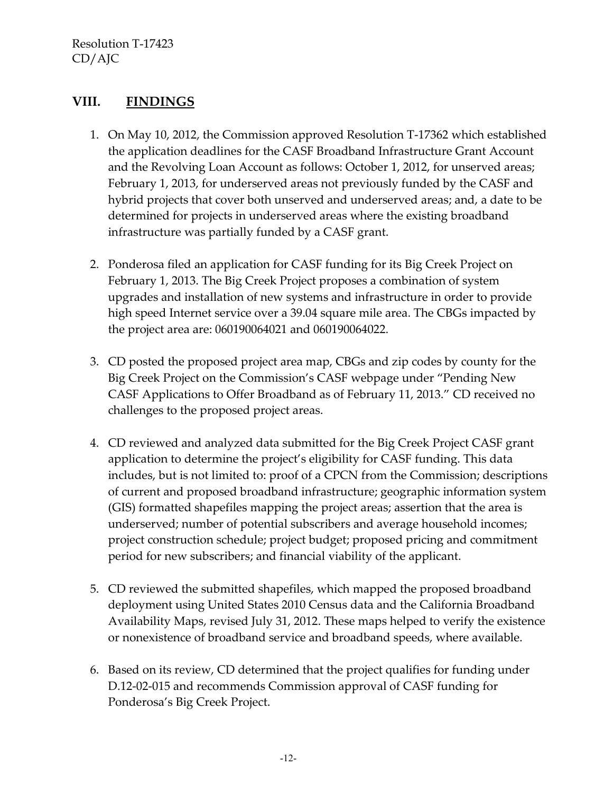## **VIII. FINDINGS**

- 1. On May 10, 2012, the Commission approved Resolution T-17362 which established the application deadlines for the CASF Broadband Infrastructure Grant Account and the Revolving Loan Account as follows: October 1, 2012, for unserved areas; February 1, 2013, for underserved areas not previously funded by the CASF and hybrid projects that cover both unserved and underserved areas; and, a date to be determined for projects in underserved areas where the existing broadband infrastructure was partially funded by a CASF grant.
- 2. Ponderosa filed an application for CASF funding for its Big Creek Project on February 1, 2013. The Big Creek Project proposes a combination of system upgrades and installation of new systems and infrastructure in order to provide high speed Internet service over a 39.04 square mile area. The CBGs impacted by the project area are: 060190064021 and 060190064022.
- 3. CD posted the proposed project area map, CBGs and zip codes by county for the Big Creek Project on the Commission's CASF webpage under "Pending New CASF Applications to Offer Broadband as of February 11, 2013." CD received no challenges to the proposed project areas.
- 4. CD reviewed and analyzed data submitted for the Big Creek Project CASF grant application to determine the project's eligibility for CASF funding. This data includes, but is not limited to: proof of a CPCN from the Commission; descriptions of current and proposed broadband infrastructure; geographic information system (GIS) formatted shapefiles mapping the project areas; assertion that the area is underserved; number of potential subscribers and average household incomes; project construction schedule; project budget; proposed pricing and commitment period for new subscribers; and financial viability of the applicant.
- 5. CD reviewed the submitted shapefiles, which mapped the proposed broadband deployment using United States 2010 Census data and the California Broadband Availability Maps, revised July 31, 2012. These maps helped to verify the existence or nonexistence of broadband service and broadband speeds, where available.
- 6. Based on its review, CD determined that the project qualifies for funding under D.12-02-015 and recommends Commission approval of CASF funding for Ponderosa's Big Creek Project.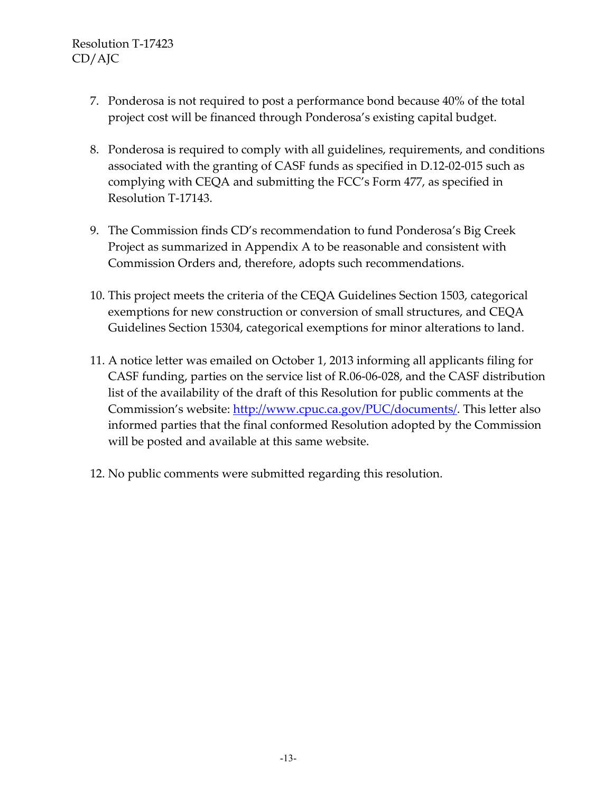- 7. Ponderosa is not required to post a performance bond because 40% of the total project cost will be financed through Ponderosa's existing capital budget.
- 8. Ponderosa is required to comply with all guidelines, requirements, and conditions associated with the granting of CASF funds as specified in D.12-02-015 such as complying with CEQA and submitting the FCC's Form 477, as specified in Resolution T-17143.
- 9. The Commission finds CD's recommendation to fund Ponderosa's Big Creek Project as summarized in Appendix A to be reasonable and consistent with Commission Orders and, therefore, adopts such recommendations.
- 10. This project meets the criteria of the CEQA Guidelines Section 1503, categorical exemptions for new construction or conversion of small structures, and CEQA Guidelines Section 15304, categorical exemptions for minor alterations to land.
- 11. A notice letter was emailed on October 1, 2013 informing all applicants filing for CASF funding, parties on the service list of R.06-06-028, and the CASF distribution list of the availability of the draft of this Resolution for public comments at the Commission's website: [http://www.cpuc.ca.gov/PUC/documents/.](http://www.cpuc.ca.gov/PUC/documents/) This letter also informed parties that the final conformed Resolution adopted by the Commission will be posted and available at this same website.
- 12. No public comments were submitted regarding this resolution.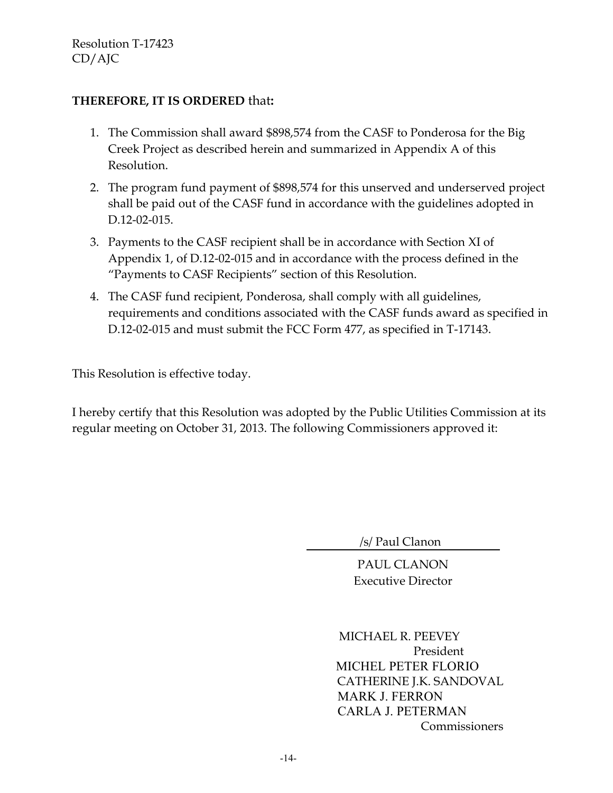#### **THEREFORE, IT IS ORDERED** that**:**

- 1. The Commission shall award \$898,574 from the CASF to Ponderosa for the Big Creek Project as described herein and summarized in Appendix A of this Resolution.
- 2. The program fund payment of \$898,574 for this unserved and underserved project shall be paid out of the CASF fund in accordance with the guidelines adopted in D.12-02-015.
- 3. Payments to the CASF recipient shall be in accordance with Section XI of Appendix 1, of D.12-02-015 and in accordance with the process defined in the "Payments to CASF Recipients" section of this Resolution.
- 4. The CASF fund recipient, Ponderosa, shall comply with all guidelines, requirements and conditions associated with the CASF funds award as specified in D.12-02-015 and must submit the FCC Form 477, as specified in T-17143.

This Resolution is effective today.

I hereby certify that this Resolution was adopted by the Public Utilities Commission at its regular meeting on October 31, 2013. The following Commissioners approved it:

/s/ Paul Clanon

PAUL CLANON Executive Director

 MICHAEL R. PEEVEY President MICHEL PETER FLORIO CATHERINE J.K. SANDOVAL MARK J. FERRON CARLA J. PETERMAN Commissioners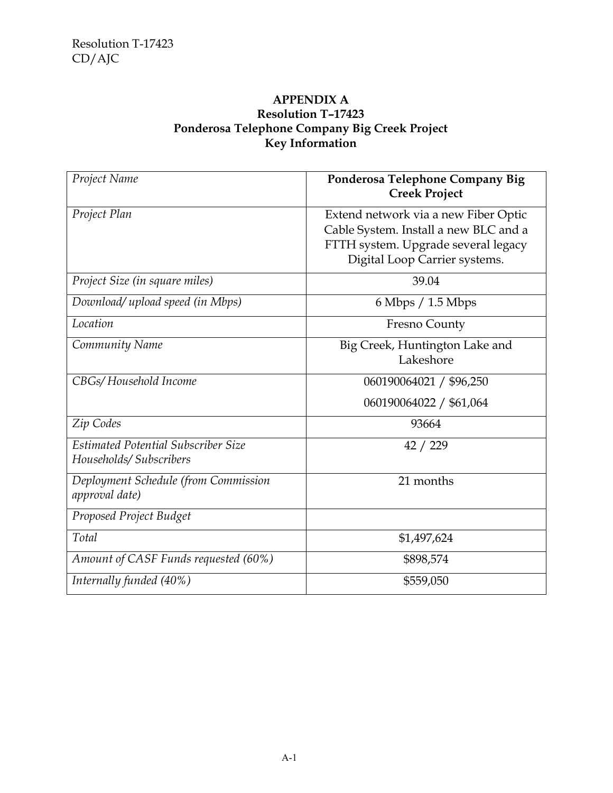#### **APPENDIX A Resolution T–17423 Ponderosa Telephone Company Big Creek Project Key Information**

| Project Name                                                  | Ponderosa Telephone Company Big<br><b>Creek Project</b>                                                                                               |
|---------------------------------------------------------------|-------------------------------------------------------------------------------------------------------------------------------------------------------|
| Project Plan                                                  | Extend network via a new Fiber Optic<br>Cable System. Install a new BLC and a<br>FTTH system. Upgrade several legacy<br>Digital Loop Carrier systems. |
| Project Size (in square miles)                                | 39.04                                                                                                                                                 |
| Download/ upload speed (in Mbps)                              | 6 Mbps / 1.5 Mbps                                                                                                                                     |
| Location                                                      | Fresno County                                                                                                                                         |
| Community Name                                                | Big Creek, Huntington Lake and<br>Lakeshore                                                                                                           |
| CBGs/Household Income                                         | 060190064021 / \$96,250                                                                                                                               |
|                                                               | 060190064022 / \$61,064                                                                                                                               |
| Zip Codes                                                     | 93664                                                                                                                                                 |
| Estimated Potential Subscriber Size<br>Households/Subscribers | 42 / 229                                                                                                                                              |
| Deployment Schedule (from Commission<br>approval date)        | 21 months                                                                                                                                             |
| Proposed Project Budget                                       |                                                                                                                                                       |
| Total                                                         | \$1,497,624                                                                                                                                           |
| Amount of CASF Funds requested (60%)                          | \$898,574                                                                                                                                             |
| Internally funded (40%)                                       | \$559,050                                                                                                                                             |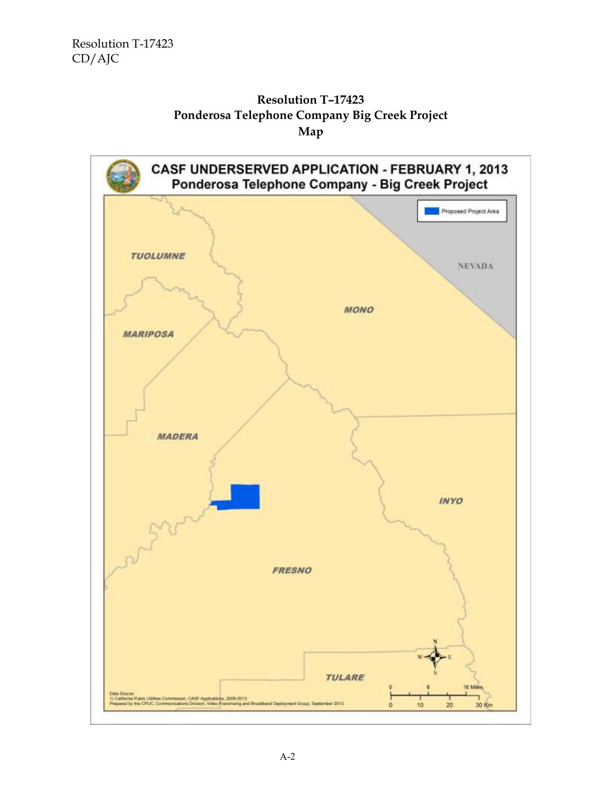